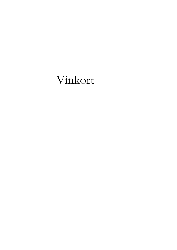# Vinkort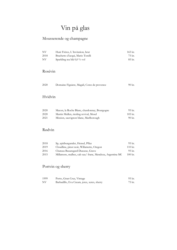# Vin på glas

# Mousserende og champagne

| NV.  | Huré Frères, L'Invitation, brut  | 165 kr. |
|------|----------------------------------|---------|
| 2018 | Brachetto d'acqui, Mario Torelli | 75 kr.  |
| NV   | Sparkling tea blå 0,0 % vol      | 85 kr.  |

# Rosévin

| 2020 | Domaine Figuiere, Magali, Cotes de provence | 90 kr. |
|------|---------------------------------------------|--------|
|      |                                             |        |

# Hvidvin

| 2020 | Macon, la Roche Blanc, chardonnay, Bourgogne | 95 kr.    |
|------|----------------------------------------------|-----------|
| 2020 | Martin Mullen, riesling revival, Mosel       | $105$ kr. |
| 2021 | Mission, sauvignon blanc, Marlborough        | 90 kr.    |

# Rødvin

| 2018 | Sp, spätburgunder, Hensel, Pflaz                         | 95 kr.            |
|------|----------------------------------------------------------|-------------------|
| 2019 | Cloudline, pinot noir, Willamette, Oregon                | $110 \text{ kr.}$ |
| 2016 | Chateau Beauregard Ducasse, Grave                        | 95 kr.            |
| 2015 | Millamore, malbec, cab sau/ franc, Mendoza, Argentina MC | $100 \text{ kr.}$ |

# Portvin og sherry

| 1999 | Porto, Gran Cruz, Vintage                   | 95 kr. |
|------|---------------------------------------------|--------|
| NV   | Barbadillo, Eva Cream, jerez, xeres, sherry | 75 kr. |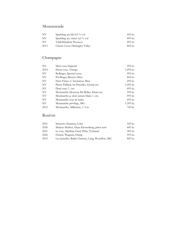# Mousserende

| NV   | Sparkling tea blå 0,0 % vol      | 445 kr. |
|------|----------------------------------|---------|
| NV.  | Sparkling tea vinter $5.0\%$ vol | 495 kr. |
| NV   | Valdobbiadene Prosecco           | 495 kr. |
| 2013 | Classic Cuvee Hattingley Valley  | 845 kr. |

# Champagne

| NV   | Möet rose Imperial                        | 995 kr.     |
|------|-------------------------------------------|-------------|
| 2014 | Deutz rose, Vintage                       | 1.495 kr.   |
| NV   | Bollinger, Special cuvee                  | 995 kr.     |
| NV   | Pol Roger, Reserve Brut                   | 845 kr.     |
| NV   | Huré Frères, L'Invitation, Brut           | 695 kr.     |
| NV   | Pierre Paillard, les Parcelles, Grand cru | $1.045$ kr. |
| NV   | Doré rosé, 1. cru                         | 695 kr.     |
| NV   | Monmarthe Douceur De Bulles, Demi-sec     | 595 kr.     |
| NV   | Monmarthe g. doré nature blanc 1. cru     | 595 kr.     |
| NV   | Monmarthe rosé de ludes                   | 695 kr.     |
| NV   | Monmarthe privilége, MG                   | 1.295 kr.   |
| 2012 | Monmarthe, Millesime, 1. Cru              | 745 kr.     |

# Rosévin

| 2021 | Sancerre, Sauterau, Loire                        | 545 kr. |
|------|--------------------------------------------------|---------|
| 2020 | Markus Molitor, Haus Klosterberg, pinot noir     | 445 kr. |
| 2021 | Le rose, Matthias Gaul, Pfalz, Tyskland          | 395 kr. |
| 2020 | Fritsch, Wagram, Østrig                          | 595 kr. |
| 2015 | Les Jamelles, Badet Clement, Lang. Rousillon, MG | 845 kr. |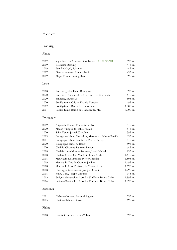# Hvidvin

#### **Frankrig**

#### Alsace

| 2017 | Vignoble Des 2 Lunes, pinot blanc, BIODYNAMIC | 595 kr. |
|------|-----------------------------------------------|---------|
| 2019 | Bestheim, Riesling                            | 445 kr. |
| 2019 | Famille Hugel, Sylvaner                       | 445 kr. |
| 2017 | Gewurztraminer, Hubert Beck                   | 495 kr. |
| 2019 | Meyer Fonne, riesling Reserve                 | 595 kr. |

#### Loire

| 2018 | Sancerre, Jadis, Henri Bourgeois               | 995 kr.                 |
|------|------------------------------------------------|-------------------------|
| 2020 | Sancerre, Domaine de la Garenne, Les Bouffants | 645 kr.                 |
| 2020 | Sancerre, Sautereau                            | 595 kr.                 |
| 2020 | Pouilly-fume, Calcite, Francis Blanche         | 495 kr.                 |
| 2012 | Pouilly-fume, Baron de l, ladoucette           | $1.300 \text{ kr.}$     |
| 2014 | Pouilly-fume, Baron de l, ladoucette, MG       | $3.000 \,\mathrm{kr}$ . |

### Bourgogne

| 2019 | Aligote Millesime, Francois Carillo                     | 545 kr.   |
|------|---------------------------------------------------------|-----------|
| 2020 | Macon-Villages, Joseph Drouhin                          | 545 kr.   |
| 2020 | Saint-Veran, Joseph Drouhin                             | 595 kr.   |
| 2019 | Bourgogne blanc, Mechalots, Marsannay, Sylvain Pataille | 695 kr.   |
| 2014 | Bourgogne blanc, Les Ravry, Pierre Damoy                | 845 kr.   |
| 2020 | Bourgogne blanc, A. Baillot                             | 595 kr.   |
| 2020 | Chablis, Charlene-Laurent, Pinson                       | 645 kr.   |
| 2018 | Chablis, 1.cru Montee Tonnere, Louis Michel             | 995 kr.   |
| 2018 | Chablis, Grand Cru Vaudesir, Louis Michel               | 1.645 kr. |
| 2018 | Meursault, Le Limozin, Pierre Girardin                  | 1.895 kr. |
| 2019 | Meursault, Clos du Cromin, Javillier                    | 1.495 kr. |
| 2018 | Meursault, 1 cru Porizots, La Tour- Giraud              | 1.695 kr. |
| 2018 | Chassagne-Montrachet, Joseph Drouhin                    | 1.795 kr. |
| 2018 | Rully, 1 cru, Joseph Drouhin                            | 945 kr.   |
| 2013 | Puligny-Montrachet, 1.cru La Truffière, Bruno Colin     | 1.895 kr. |
| 2014 | Puligny-Montrachet, 1.cru La Truffiere, Bruno Colin     | 1.895 kr. |

#### Bordeaux

| 2011 | Château Cruzeau, Pessac-Léognan | 595 kr. |
|------|---------------------------------|---------|
| 2013 | Château Rahoul, Graves          | 695 kr. |

#### Rhône

| 2018 | Inopia, Cotes du Rhone-Village | 595 kr. |
|------|--------------------------------|---------|
|------|--------------------------------|---------|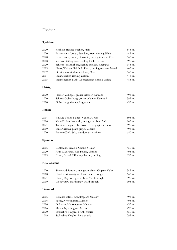# Hvidvin

# **Tyskland**

| 2020 | Rebholz, riesling trocken, Pfalz                       | 545 kr. |
|------|--------------------------------------------------------|---------|
| 2020 | Bassermann Jordan, Paradiesgarten, riesling, Pfalz     | 445 kr. |
| 2020 | Bassermann Jordan, Gutswein, riesling trocken, Pfalz   | 545 kr. |
| 2018 | Vo, Von Othegraven, riesling feinherb, Saar            | 495 kr. |
| 2020 | Schloss Johannisberg, riesling trocken, Rheingau       | 645 kr. |
| 2019 | Haart, Weingut Reinhold Haart, riesling trocken, Mosel | 445 kr. |
| 2007 | Dr. siemens, riesling spåtleses, Mosel                 | 545 kr. |
| 2017 | Pfannebecker, riesling auslese,                        | 445 kr. |
| 2015 | Pfannebecker, Sankt Georgenberg, riesling auslese      | 485 kr. |

# **Østrig**

| 2020 | Herbert Zillinger, grüner veltliner, Neuland  | 495 kr. |
|------|-----------------------------------------------|---------|
| 2020 | Schloss Gobelsburg, grüner veltliner, Kamptal | 595 kr. |
| 2020 | Gobelsburg, riesling, Urgestein               | 495 kr. |

#### **Italien**

| 2014 | Vintage Turina Bianco, Venezia Giulia           | 595 kr.   |
|------|-------------------------------------------------|-----------|
| 2016 | Vette Di San Leonardo, sauvignon blanc, MG      | 845 kr.   |
| 2021 | Tommasi, Vigneto Le Rosse, Pinot grigio, Veneto | 495 kr.   |
| 2019 | Santa Cristina, pinot grigio, Venezia           | 495 kr.   |
| 2020 | Bramito Della Sala, chardonnay, Antinori        | $650$ kr. |

# **Spanien**

| 2016 | Cantayano, verdejo, Castilla Y Leon       | $450 \text{ kr.}$ |
|------|-------------------------------------------|-------------------|
| 2020 | Attis, Lias Finas, Rias Baixas, albarino  | 495 kr.           |
| 2019 | Ekam, Castell d'Encus, albarino, riesling | 695 kr.           |

#### **New Zealand**

| 2020 | Sherwood Stratum, sauvignon blanc, Waipara Valley | 545 kr. |
|------|---------------------------------------------------|---------|
| 2018 | Clos Henri, sauvignon blanc, Marlborough          | 645 kr. |
| 2021 | Cloudy Bay, sauvignon blanc, Marlborough          | 595 kr. |
| 2019 | Cloudy Bay, chardonnay, Marlborough               | 695 kr. |

#### **Danmark**

| 2016 | Brillante solaris, Nyholmgaard Marslev | 495 kr. |
|------|----------------------------------------|---------|
| 2016 | Facile, Nyholmgaard Marsley            | 495 kr. |
| 2016 | Dolcezza, Myholmgaard Marslev          | 495 kr. |
| 2016 | Musca, Nyholmgaard Marslev             | 495 kr. |
| 2020 | Stokkebye Vingård, Frank, solaris      | 550 kr. |
| 2019 | Stokkebye Vingård, Liva, solaris       | 795 kr. |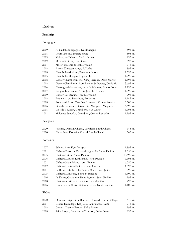# Rødvin

### **Frankrig**

# Bourgogne

| A. Baillot, Bourgogne, La Montagne                   | 595 kr.   |
|------------------------------------------------------|-----------|
| Louis Latour, Santenay rouge                         | 595 kr.   |
| Volnay, les Echards, Mark Haisma                     | 995 kr.   |
| Morey-St Denis, Lou Dumont                           | 895 kr.   |
| Morey-st Denis, Joseph Drouhin                       | 945 kr.   |
| Auxey-Duresses rouge, F.Coche                        | 895 kr.   |
| Chambolle-Musigny, Benjamin Leroux                   | 1.795 kr. |
| Chambolle-Musigny, Digioia-Royer                     | 1.295 kr. |
| Gevrey Chambertin, Mes Cinq Terroirs, Denis Mortet   | 1.695 kr. |
| Gevrey Chambertin, 1.cru Lavaux St Jacques, Denis M. | 3.695 kr. |
| Chassagne-Montrachet, 1.cru La Maltroie, Bruno Colin | 1.195 kr. |
| Savigny-Les-Beaune, 1. cru Joseph Drouhin            | 1.095 kr. |
| Chorey-Les-Beaune, Joseth Drouhin                    | 795 kr.   |
| Beaune, 1. cru Pertuizots, Bouzereau                 | 1.145 kr. |
| Pommard, 1.cru, Clos Des Epeneaux, Comte Armand      | 3.500 kr. |
| Grands Echezeaux, Grand cru, Mongeard Mugneret       | 4.495 kr. |
| Clos de Vougeot, Grand cru, Jean Grivot              | 3.995 kr. |
| Maldante Pauvelot, Grand cru, Corton Renardes        | 1.995 kr. |
|                                                      |           |

### Beaujolais

| 2020 | Julienas, Domain Chapel, Vayolette, Smith Chapel | 645 kr. |
|------|--------------------------------------------------|---------|
| 2020 | Chiroubles, Domaine Chapel, Smith Chapel         | 745 kr. |

#### Bordeaux

| 2007 | Palmer, Alter Ego, Margaux                           | 1.895 kr.           |
|------|------------------------------------------------------|---------------------|
| 2011 | Château Baron de Pichon-Longueville 2. cru, Pauillac | 1.350 kr.           |
| 2005 | Château Latour, 1.cru, Pauillac                      | 13.495 kr.          |
| 2006 | Château Mouton Rothschild, 1.cru, Pauillac           | 9.695 kr.           |
| 2001 | Château Haut Brion, 1. cru, Graves                   | $6.750$ kr.         |
| 2012 | Château Haut-Bailly, Grand cru, Graves               | 1.995 kr.           |
| 2014 | La ReserveDe Leoville Barton, 2 Vin, Saint-Julien    | 995 kr.             |
| 2005 | Château Montrose, 2. cru, St-Estephe                 | 3.300 kr.           |
| 2016 | La Dame, Grand cru, Haut Segottes, Saint-Emilion     | 995 kr.             |
| 2018 | Chateau Morillon, Grand Cru, Saint-Emilion           | 495 kr.             |
| 2016 | Croix Canon, 2. cru, Château Canon, Saint-Emilion    | $1.100 \text{ kr.}$ |

#### Rhône

| 2020 | Domaine Seigneur de Renouard, Cote de Rhone Villages | 445 kr. |
|------|------------------------------------------------------|---------|
| 2017 | Crozes Hermitage, Les Jalets, Paul Jaboulet Ainè     | 745 kr. |
| 2018 | Cornas, Chamte-Perdrix, Delas Freres                 | 995 kr. |
| 2018 | Saint Joseph, Francois de Tournon, Delas Freres      | 895 kr. |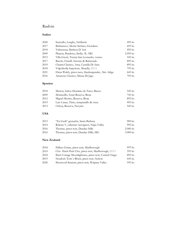# Rødvin

#### **Italien**

| 2020 | Scarzello, Langhe, Nebbiolo                        | 495 kr.   |
|------|----------------------------------------------------|-----------|
| 2017 | Barbaresco, Monte Stefano, Giordano                | 695 kr.   |
| 2018 | Valmorena, Barbera D'Asti                          | 495 kr.   |
| 2009 | Planeta, Burdeses, Sicilia, 3L. MG                 | 2.495 kr. |
| 2013 | Villa Gresti, Tenuta San Leonardo, veneto          | 545 kr.   |
| 2017 | Barolo, Fratelli Antonio & Raimondo                | 895 kr.   |
| 2019 | Chianti Classico, Ama, Castella Di Ama             | 895 kr.   |
| 2018 | Valpolicella Superiore, Musella, ECO               | 795 kr.   |
| 2021 | Elena Walch, pinot nero, blauburgunder, Alto Adige | 645 kr.   |
| 2016 | Amarone Classico, Masua Di Jago                    | 795 kr.   |

### **Spanien**

| 2018 | Mencia, baltos Dominio de Tares, Bierzo | 545 kr. |
|------|-----------------------------------------|---------|
| 2009 | Montecillo, Gran Reserva, Rioja         | 745 kr. |
| 2012 | Miguel Merino, Reserva, Rioja           | 895 kr. |
| 2019 | Luis Canas, Tinto, tempranillo & viura  | 495 kr. |
| 2013 | Ochoa, Reserva, Navarra                 | 545 kr. |

#### **USA**

| 2013 | "En Gedi" grenache, Santa Barbara          | 900 kr.                 |
|------|--------------------------------------------|-------------------------|
| 2014 | Release V, cabernet sauvignon, Napa Valley | 995 kr.                 |
| 2016 | Thomas, pinot noir, Dundee Hills           | $2.000 \,\mathrm{kr}$ . |
| 2016 | Thomas, pinot noir, Dundee Hills, MG       | $3.000 \,\mathrm{kr}$ . |

#### **New Zealand**

| 2018 | Palliser Estate, pinot noir, Marlborough              | 695 kr. |
|------|-------------------------------------------------------|---------|
| 2019 | Clos Henri Petit Clos, pinot noir, Marlborough, ECO   | 595 kr. |
| 2018 | Burn Cottage Moonlightrace, pinot noir, Central Otago | 895 kr. |
| 2019 | Neudorf, Tom's Block, pinot noir, Nelson              | 645 kr. |
| 2020 | Sherwood Stratum, pinot noir, Waipara Valley          | 595 kr. |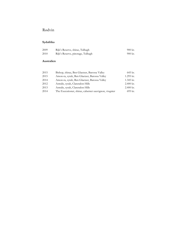# Rødvin

### **Sydafrika**

| -2009 | Rijk's Reserve, shiraz, Tulbagh   | $900 \; \text{kr}$ . |
|-------|-----------------------------------|----------------------|
| 2010  | Rijk's Reserve, pinotage, Tulbagh | 900 kr.              |

#### **Australien**

| 2015 | Bishop, shiraz, Ben Glaetzer, Barossa Valley          | 645 kr.     |
|------|-------------------------------------------------------|-------------|
| 2015 | Amon-ra, syrah, Ben Glaetzer, Barossa Valley          | 1.295 kr.   |
| 2014 | Amon-ra, syrah, Ben Glaetzer, Barossa Valley          | 1.345 kr.   |
| 2012 | Astralis, syrah, Clarendon Hills                      | $2.400$ kr. |
| 2013 | Astralis, syrah, Clarendon Hills                      | $2.400$ kr. |
| 2014 | The Executioner, shiraz, cabernet sauvignon, viognier | 695 kr.     |
|      |                                                       |             |